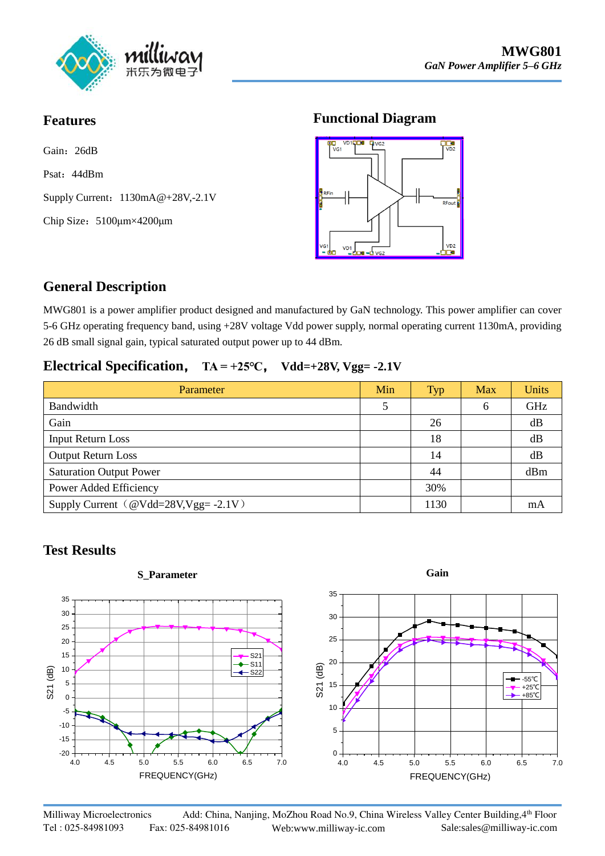

## **Features**

Gain: 26dB

Psat: 44dBm

Supply Current:  $1130mA@+28V,-2.1V$  $1130mA@+28V,-2.1V$ 

Chip Size:5100μm×4200μm

## **Functional Diagram**



# **General Description**

MWG801 is a power amplifier product designed and manufactured by GaN technology. This power amplifier can cover 5-6 GHz operating frequency band, using +28V voltage Vdd power supply, normal operating current 1130mA, providing 26 dB small signal gain, typical saturated output power up to 44 dBm.

## **Electrical Specification**, **TA = +25℃**, **Vdd=+28V, Vgg= -2.1V**

| Parameter                           | Min | <b>Typ</b> | <b>Max</b> | <b>Units</b> |
|-------------------------------------|-----|------------|------------|--------------|
| Bandwidth                           |     |            | 6          | GHz          |
| Gain                                |     | 26         |            | dB           |
| <b>Input Return Loss</b>            |     | 18         |            | dB           |
| <b>Output Return Loss</b>           |     | 14         |            | dB           |
| <b>Saturation Output Power</b>      |     | 44         |            | dBm          |
| Power Added Efficiency              |     | 30%        |            |              |
| Supply Current $@Vdd=28V,Vgg=.2.1V$ |     | 1130       |            | mA           |

# **Test Results**

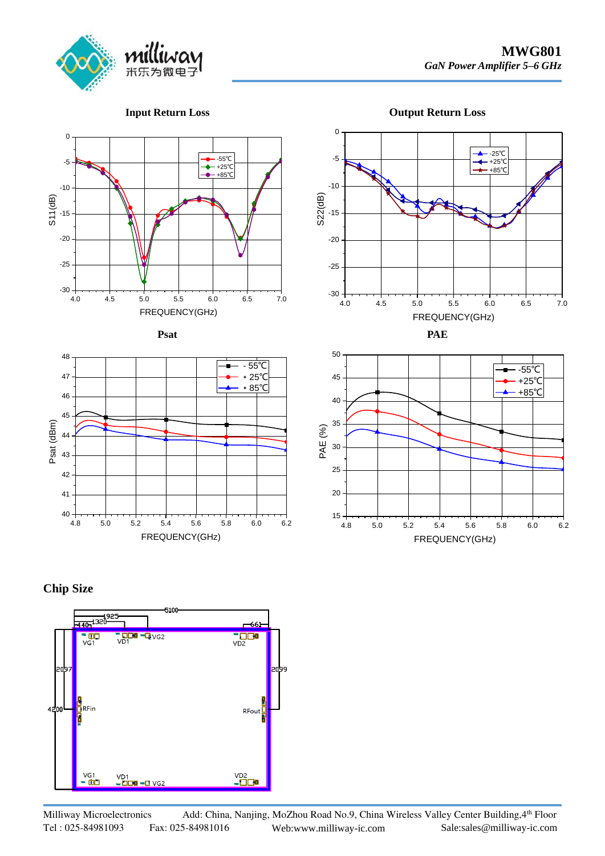

#### **Input Return Loss**

**Output Return Loss**